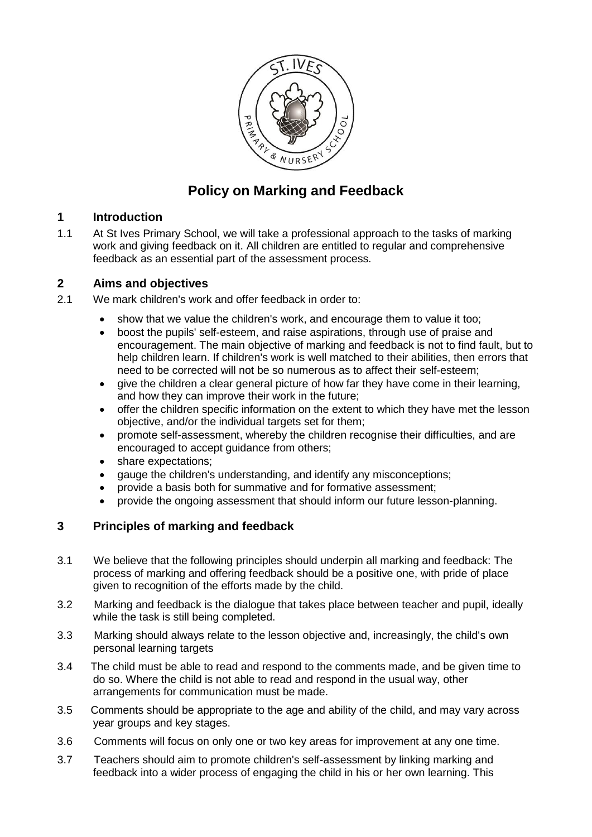

# **Policy on Marking and Feedback**

# **1 Introduction**

1.1 At St Ives Primary School, we will take a professional approach to the tasks of marking work and giving feedback on it. All children are entitled to regular and comprehensive feedback as an essential part of the assessment process.

# **2 Aims and objectives**

- 2.1 We mark children's work and offer feedback in order to:
	- show that we value the children's work, and encourage them to value it too;
	- boost the pupils' self-esteem, and raise aspirations, through use of praise and encouragement. The main objective of marking and feedback is not to find fault, but to help children learn. If children's work is well matched to their abilities, then errors that need to be corrected will not be so numerous as to affect their self-esteem;
	- give the children a clear general picture of how far they have come in their learning, and how they can improve their work in the future;
	- offer the children specific information on the extent to which they have met the lesson objective, and/or the individual targets set for them;
	- promote self-assessment, whereby the children recognise their difficulties, and are encouraged to accept guidance from others;
	- share expectations;
	- gauge the children's understanding, and identify any misconceptions;
	- provide a basis both for summative and for formative assessment;
	- provide the ongoing assessment that should inform our future lesson-planning.

# **3 Principles of marking and feedback**

- 3.1 We believe that the following principles should underpin all marking and feedback: The process of marking and offering feedback should be a positive one, with pride of place given to recognition of the efforts made by the child.
- 3.2 Marking and feedback is the dialogue that takes place between teacher and pupil, ideally while the task is still being completed.
- 3.3 Marking should always relate to the lesson objective and, increasingly, the child's own personal learning targets
- 3.4 The child must be able to read and respond to the comments made, and be given time to do so. Where the child is not able to read and respond in the usual way, other arrangements for communication must be made.
- 3.5 Comments should be appropriate to the age and ability of the child, and may vary across year groups and key stages.
- 3.6 Comments will focus on only one or two key areas for improvement at any one time.
- 3.7 Teachers should aim to promote children's self-assessment by linking marking and feedback into a wider process of engaging the child in his or her own learning. This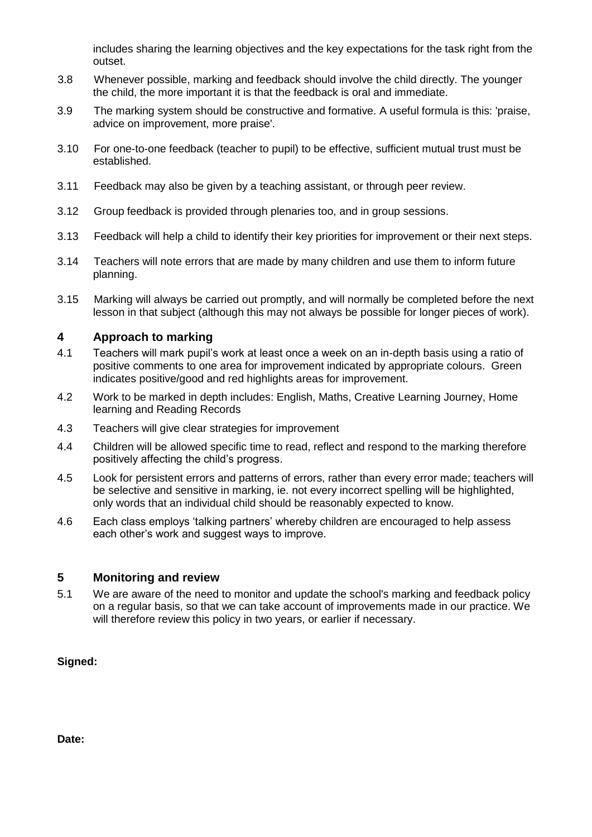includes sharing the learning objectives and the key expectations for the task right from the outset.

- 3.8 Whenever possible, marking and feedback should involve the child directly. The younger the child, the more important it is that the feedback is oral and immediate.
- 3.9 The marking system should be constructive and formative. A useful formula is this: 'praise, advice on improvement, more praise'.
- 3.10 For one-to-one feedback (teacher to pupil) to be effective, sufficient mutual trust must be established.
- 3.11 Feedback may also be given by a teaching assistant, or through peer review.
- 3.12 Group feedback is provided through plenaries too, and in group sessions.
- 3.13 Feedback will help a child to identify their key priorities for improvement or their next steps.
- 3.14 Teachers will note errors that are made by many children and use them to inform future planning.
- 3.15 Marking will always be carried out promptly, and will normally be completed before the next lesson in that subject (although this may not always be possible for longer pieces of work).

#### **4 Approach to marking**

- 4.1 Teachers will mark pupil's work at least once a week on an in-depth basis using a ratio of positive comments to one area for improvement indicated by appropriate colours. Green indicates positive/good and red highlights areas for improvement.
- 4.2 Work to be marked in depth includes: English, Maths, Creative Learning Journey, Home learning and Reading Records
- 4.3 Teachers will give clear strategies for improvement
- 4.4 Children will be allowed specific time to read, reflect and respond to the marking therefore positively affecting the child's progress.
- 4.5 Look for persistent errors and patterns of errors, rather than every error made; teachers will be selective and sensitive in marking, ie. not every incorrect spelling will be highlighted, only words that an individual child should be reasonably expected to know.
- 4.6 Each class employs 'talking partners' whereby children are encouraged to help assess each other's work and suggest ways to improve.

#### **5 Monitoring and review**

5.1 We are aware of the need to monitor and update the school's marking and feedback policy on a regular basis, so that we can take account of improvements made in our practice. We will therefore review this policy in two years, or earlier if necessary.

#### **Signed:**

**Date:**